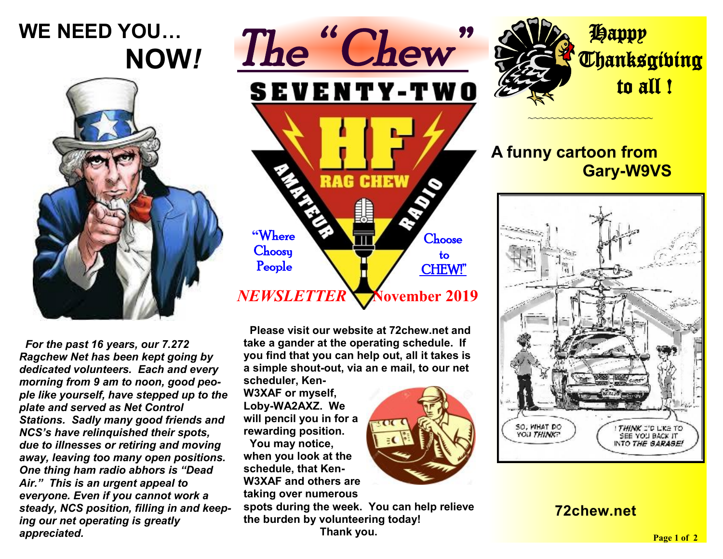# **WE NEED YOU… NOW***!*



 *For the past 16 years, our 7.272 Ragchew Net has been kept going by dedicated volunteers. Each and every morning from 9 am to noon, good people like yourself, have stepped up to the plate and served as Net Control Stations. Sadly many good friends and NCS's have relinquished their spots, due to illnesses or retiring and moving away, leaving too many open positions. One thing ham radio abhors is "Dead Air." This is an urgent appeal to everyone. Even if you cannot work a steady, NCS position, filling in and keeping our net operating is greatly appreciated.* 



 **Please visit our website at 72chew.net and take a gander at the operating schedule. If you find that you can help out, all it takes is a simple shout-out, via an e mail, to our net** 

**scheduler, Ken-W3XAF or myself, Loby-WA2AXZ. We will pencil you in for a rewarding position. You may notice, when you look at the schedule, that Ken-W3XAF and others are taking over numerous** 

**spots during the week. You can help relieve the burden by volunteering today!** 

 **Thank you.** 



#### **A funny cartoon from Gary-W9VS**

~~~~~~~~~~~~~~~~~~~~~~



#### **72chew.net**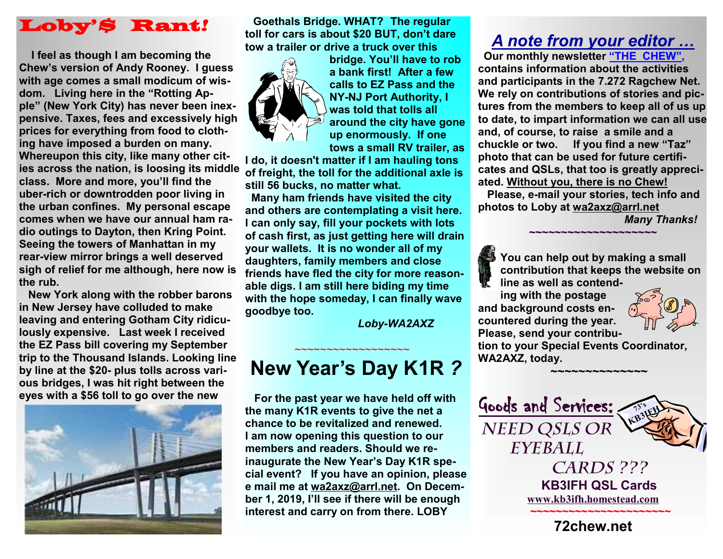### Loby'*\$* Rant*!*

 **I feel as though I am becoming the Chew's version of Andy Rooney. I guess with age comes a small modicum of wisdom. Living here in the "Rotting Apple" (New York City) has never been inexpensive. Taxes, fees and excessively high prices for everything from food to clothing have imposed a burden on many. Whereupon this city, like many other cities across the nation, is loosing its middle class. More and more, you'll find the uber-rich or downtrodden poor living in the urban confines. My personal escape comes when we have our annual ham radio outings to Dayton, then Kring Point. Seeing the towers of Manhattan in my rear-view mirror brings a well deserved sigh of relief for me although, here now is the rub.** 

 **New York along with the robber barons in New Jersey have colluded to make leaving and entering Gotham City ridiculously expensive. Last week I received the EZ Pass bill covering my September trip to the Thousand Islands. Looking line by line at the \$20- plus tolls across various bridges, I was hit right between the eyes with a \$56 toll to go over the new** 



**Goethals Bridge. WHAT? The regular toll for cars is about \$20 BUT, don't dare tow a trailer or drive a truck over this** 



**bridge. You'll have to rob a bank first! After a few calls to EZ Pass and the NY-NJ Port Authority, I was told that tolls all around the city have gone up enormously. If one tows a small RV trailer, as** 

**I do, it doesn't matter if I am hauling tons of freight, the toll for the additional axle is still 56 bucks, no matter what.** 

 **Many ham friends have visited the city and others are contemplating a visit here. I can only say, fill your pockets with lots of cash first, as just getting here will drain your wallets. It is no wonder all of my daughters, family members and close friends have fled the city for more reasonable digs. I am still here biding my time with the hope someday, I can finally wave goodbye too.** 

*Loby-WA2AXZ*

# **New Year's Day K1R** *?*

 $\sim$ ~~~~~~~~~~~~~~~~~~~

 **For the past year we have held off with the many K1R events to give the net a chance to be revitalized and renewed. I am now opening this question to our members and readers. Should we reinaugurate the New Year's Day K1R special event? If you have an opinion, please e mail me at [wa2axz@arrl.net](mailto:wa2axz@arrl.net). On December 1, 2019, I'll see if there will be enough interest and carry on from there. LOBY** 

### *A note from your editor …*

 **Our monthly newsletter "THE CHEW", contains information about the activities and participants in the 7.272 Ragchew Net. We rely on contributions of stories and pictures from the members to keep all of us up to date, to impart information we can all use and, of course, to raise a smile and a chuckle or two. If you find a new "Taz" photo that can be used for future certificates and QSLs, that too is greatly appreciated. Without you, there is no Chew!**

 **Please, e-mail your stories, tech info and photos to Loby at [wa2axz@arrl.net](mailto:wa2axz@arrl.net)** 

**~~~~~~~~~~~~~~~~~~~~**

*Many Thanks!* 



**ing with the postage and background costs encountered during the year. Please, send your contribu-**



**tion to your Special Events Coordinator, WA2AXZ, today.** 

 **~~~~~~~~~~~~~~~**